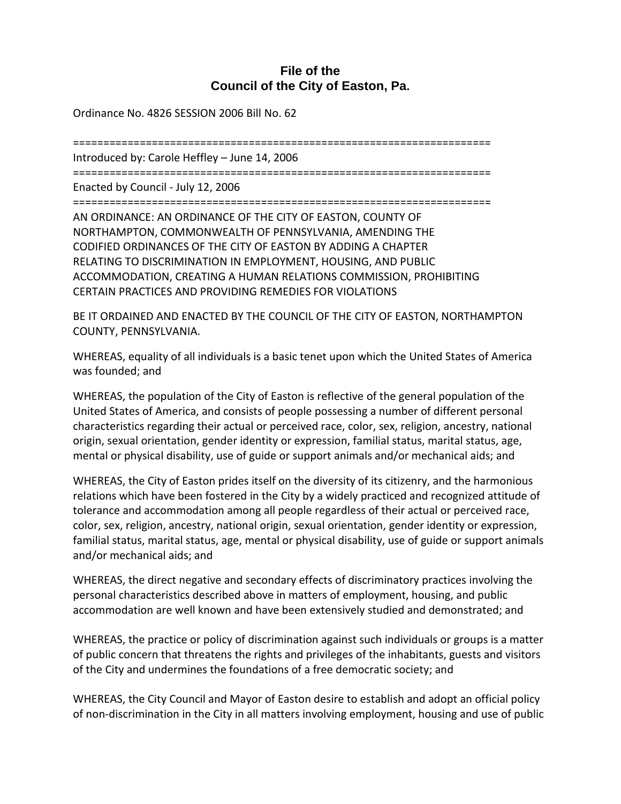## **File of the Council of the City of Easton, Pa.**

Ordinance No. 4826 SESSION 2006 Bill No. 62

===================================================================== Introduced by: Carole Heffley – June 14, 2006 ===================================================================== Enacted by Council - July 12, 2006 ===================================================================== AN ORDINANCE: AN ORDINANCE OF THE CITY OF EASTON, COUNTY OF NORTHAMPTON, COMMONWEALTH OF PENNSYLVANIA, AMENDING THE CODIFIED ORDINANCES OF THE CITY OF EASTON BY ADDING A CHAPTER RELATING TO DISCRIMINATION IN EMPLOYMENT, HOUSING, AND PUBLIC ACCOMMODATION, CREATING A HUMAN RELATIONS COMMISSION, PROHIBITING CERTAIN PRACTICES AND PROVIDING REMEDIES FOR VIOLATIONS

BE IT ORDAINED AND ENACTED BY THE COUNCIL OF THE CITY OF EASTON, NORTHAMPTON COUNTY, PENNSYLVANIA.

WHEREAS, equality of all individuals is a basic tenet upon which the United States of America was founded; and

WHEREAS, the population of the City of Easton is reflective of the general population of the United States of America, and consists of people possessing a number of different personal characteristics regarding their actual or perceived race, color, sex, religion, ancestry, national origin, sexual orientation, gender identity or expression, familial status, marital status, age, mental or physical disability, use of guide or support animals and/or mechanical aids; and

WHEREAS, the City of Easton prides itself on the diversity of its citizenry, and the harmonious relations which have been fostered in the City by a widely practiced and recognized attitude of tolerance and accommodation among all people regardless of their actual or perceived race, color, sex, religion, ancestry, national origin, sexual orientation, gender identity or expression, familial status, marital status, age, mental or physical disability, use of guide or support animals and/or mechanical aids; and

WHEREAS, the direct negative and secondary effects of discriminatory practices involving the personal characteristics described above in matters of employment, housing, and public accommodation are well known and have been extensively studied and demonstrated; and

WHEREAS, the practice or policy of discrimination against such individuals or groups is a matter of public concern that threatens the rights and privileges of the inhabitants, guests and visitors of the City and undermines the foundations of a free democratic society; and

WHEREAS, the City Council and Mayor of Easton desire to establish and adopt an official policy of non-discrimination in the City in all matters involving employment, housing and use of public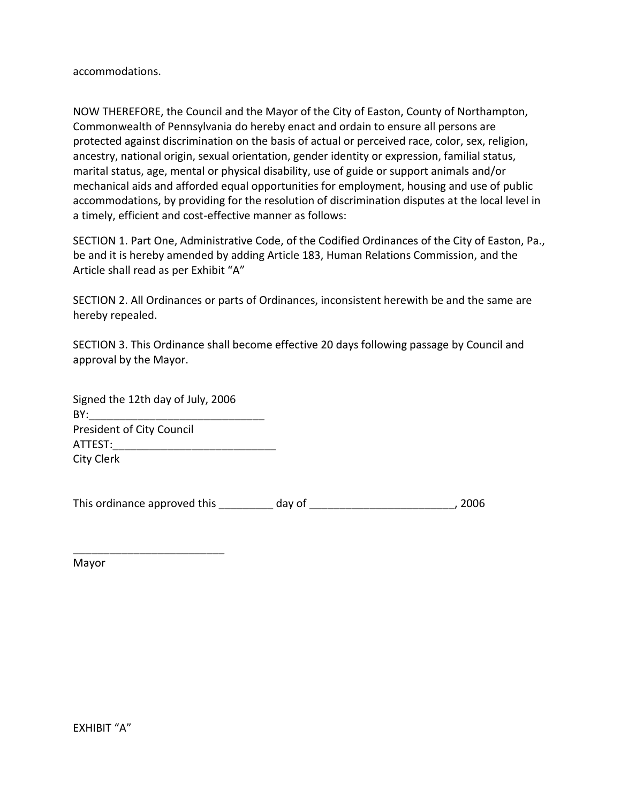accommodations.

NOW THEREFORE, the Council and the Mayor of the City of Easton, County of Northampton, Commonwealth of Pennsylvania do hereby enact and ordain to ensure all persons are protected against discrimination on the basis of actual or perceived race, color, sex, religion, ancestry, national origin, sexual orientation, gender identity or expression, familial status, marital status, age, mental or physical disability, use of guide or support animals and/or mechanical aids and afforded equal opportunities for employment, housing and use of public accommodations, by providing for the resolution of discrimination disputes at the local level in a timely, efficient and cost-effective manner as follows:

SECTION 1. Part One, Administrative Code, of the Codified Ordinances of the City of Easton, Pa., be and it is hereby amended by adding Article 183, Human Relations Commission, and the Article shall read as per Exhibit "A"

SECTION 2. All Ordinances or parts of Ordinances, inconsistent herewith be and the same are hereby repealed.

SECTION 3. This Ordinance shall become effective 20 days following passage by Council and approval by the Mayor.

| Signed the 12th day of July, 2006 |
|-----------------------------------|
| BY:                               |
| <b>President of City Council</b>  |
| ATTEST:                           |
| City Clerk                        |

\_\_\_\_\_\_\_\_\_\_\_\_\_\_\_\_\_\_\_\_\_\_\_\_\_

This ordinance approved this \_\_\_\_\_\_\_\_ day of \_\_\_\_\_\_\_\_\_\_\_\_\_\_\_\_\_\_\_\_\_\_\_\_, 2006

Mayor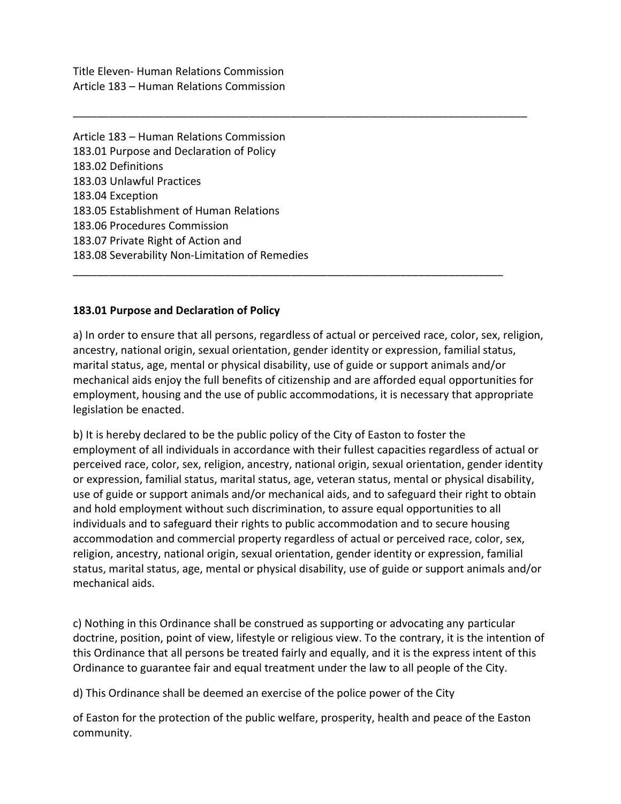Title Eleven- Human Relations Commission Article 183 – Human Relations Commission

Article 183 – Human Relations Commission 183.01 Purpose and Declaration of Policy 183.02 Definitions 183.03 Unlawful Practices 183.04 Exception 183.05 Establishment of Human Relations 183.06 Procedures Commission 183.07 Private Right of Action and 183.08 Severability Non-Limitation of Remedies

### **183.01 Purpose and Declaration of Policy**

a) In order to ensure that all persons, regardless of actual or perceived race, color, sex, religion, ancestry, national origin, sexual orientation, gender identity or expression, familial status, marital status, age, mental or physical disability, use of guide or support animals and/or mechanical aids enjoy the full benefits of citizenship and are afforded equal opportunities for employment, housing and the use of public accommodations, it is necessary that appropriate legislation be enacted.

\_\_\_\_\_\_\_\_\_\_\_\_\_\_\_\_\_\_\_\_\_\_\_\_\_\_\_\_\_\_\_\_\_\_\_\_\_\_\_\_\_\_\_\_\_\_\_\_\_\_\_\_\_\_\_\_\_\_\_\_\_\_\_\_\_\_\_\_\_\_\_

\_\_\_\_\_\_\_\_\_\_\_\_\_\_\_\_\_\_\_\_\_\_\_\_\_\_\_\_\_\_\_\_\_\_\_\_\_\_\_\_\_\_\_\_\_\_\_\_\_\_\_\_\_\_\_\_\_\_\_\_\_\_\_\_\_\_\_\_\_\_\_\_\_\_\_

b) It is hereby declared to be the public policy of the City of Easton to foster the employment of all individuals in accordance with their fullest capacities regardless of actual or perceived race, color, sex, religion, ancestry, national origin, sexual orientation, gender identity or expression, familial status, marital status, age, veteran status, mental or physical disability, use of guide or support animals and/or mechanical aids, and to safeguard their right to obtain and hold employment without such discrimination, to assure equal opportunities to all individuals and to safeguard their rights to public accommodation and to secure housing accommodation and commercial property regardless of actual or perceived race, color, sex, religion, ancestry, national origin, sexual orientation, gender identity or expression, familial status, marital status, age, mental or physical disability, use of guide or support animals and/or mechanical aids.

c) Nothing in this Ordinance shall be construed as supporting or advocating any particular doctrine, position, point of view, lifestyle or religious view. To the contrary, it is the intention of this Ordinance that all persons be treated fairly and equally, and it is the express intent of this Ordinance to guarantee fair and equal treatment under the law to all people of the City.

d) This Ordinance shall be deemed an exercise of the police power of the City

of Easton for the protection of the public welfare, prosperity, health and peace of the Easton community.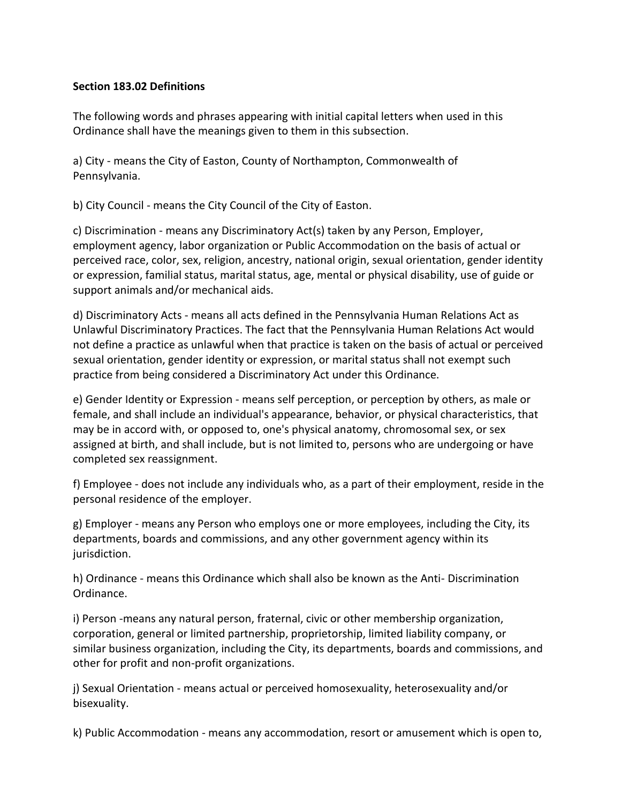### **Section 183.02 Definitions**

The following words and phrases appearing with initial capital letters when used in this Ordinance shall have the meanings given to them in this subsection.

a) City - means the City of Easton, County of Northampton, Commonwealth of Pennsylvania.

b) City Council - means the City Council of the City of Easton.

c) Discrimination - means any Discriminatory Act(s) taken by any Person, Employer, employment agency, labor organization or Public Accommodation on the basis of actual or perceived race, color, sex, religion, ancestry, national origin, sexual orientation, gender identity or expression, familial status, marital status, age, mental or physical disability, use of guide or support animals and/or mechanical aids.

d) Discriminatory Acts - means all acts defined in the Pennsylvania Human Relations Act as Unlawful Discriminatory Practices. The fact that the Pennsylvania Human Relations Act would not define a practice as unlawful when that practice is taken on the basis of actual or perceived sexual orientation, gender identity or expression, or marital status shall not exempt such practice from being considered a Discriminatory Act under this Ordinance.

e) Gender Identity or Expression - means self perception, or perception by others, as male or female, and shall include an individual's appearance, behavior, or physical characteristics, that may be in accord with, or opposed to, one's physical anatomy, chromosomal sex, or sex assigned at birth, and shall include, but is not limited to, persons who are undergoing or have completed sex reassignment.

f) Employee - does not include any individuals who, as a part of their employment, reside in the personal residence of the employer.

g) Employer - means any Person who employs one or more employees, including the City, its departments, boards and commissions, and any other government agency within its jurisdiction.

h) Ordinance - means this Ordinance which shall also be known as the Anti- Discrimination Ordinance.

i) Person -means any natural person, fraternal, civic or other membership organization, corporation, general or limited partnership, proprietorship, limited liability company, or similar business organization, including the City, its departments, boards and commissions, and other for profit and non-profit organizations.

j) Sexual Orientation - means actual or perceived homosexuality, heterosexuality and/or bisexuality.

k) Public Accommodation - means any accommodation, resort or amusement which is open to,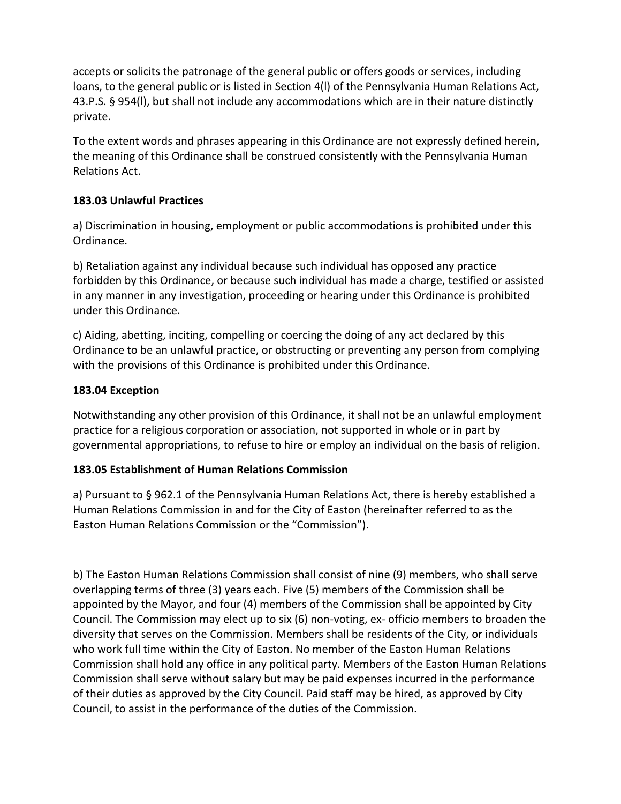accepts or solicits the patronage of the general public or offers goods or services, including loans, to the general public or is listed in Section 4(l) of the Pennsylvania Human Relations Act, 43.P.S. § 954(l), but shall not include any accommodations which are in their nature distinctly private.

To the extent words and phrases appearing in this Ordinance are not expressly defined herein, the meaning of this Ordinance shall be construed consistently with the Pennsylvania Human Relations Act.

## **183.03 Unlawful Practices**

a) Discrimination in housing, employment or public accommodations is prohibited under this Ordinance.

b) Retaliation against any individual because such individual has opposed any practice forbidden by this Ordinance, or because such individual has made a charge, testified or assisted in any manner in any investigation, proceeding or hearing under this Ordinance is prohibited under this Ordinance.

c) Aiding, abetting, inciting, compelling or coercing the doing of any act declared by this Ordinance to be an unlawful practice, or obstructing or preventing any person from complying with the provisions of this Ordinance is prohibited under this Ordinance.

# **183.04 Exception**

Notwithstanding any other provision of this Ordinance, it shall not be an unlawful employment practice for a religious corporation or association, not supported in whole or in part by governmental appropriations, to refuse to hire or employ an individual on the basis of religion.

## **183.05 Establishment of Human Relations Commission**

a) Pursuant to § 962.1 of the Pennsylvania Human Relations Act, there is hereby established a Human Relations Commission in and for the City of Easton (hereinafter referred to as the Easton Human Relations Commission or the "Commission").

b) The Easton Human Relations Commission shall consist of nine (9) members, who shall serve overlapping terms of three (3) years each. Five (5) members of the Commission shall be appointed by the Mayor, and four (4) members of the Commission shall be appointed by City Council. The Commission may elect up to six (6) non-voting, ex- officio members to broaden the diversity that serves on the Commission. Members shall be residents of the City, or individuals who work full time within the City of Easton. No member of the Easton Human Relations Commission shall hold any office in any political party. Members of the Easton Human Relations Commission shall serve without salary but may be paid expenses incurred in the performance of their duties as approved by the City Council. Paid staff may be hired, as approved by City Council, to assist in the performance of the duties of the Commission.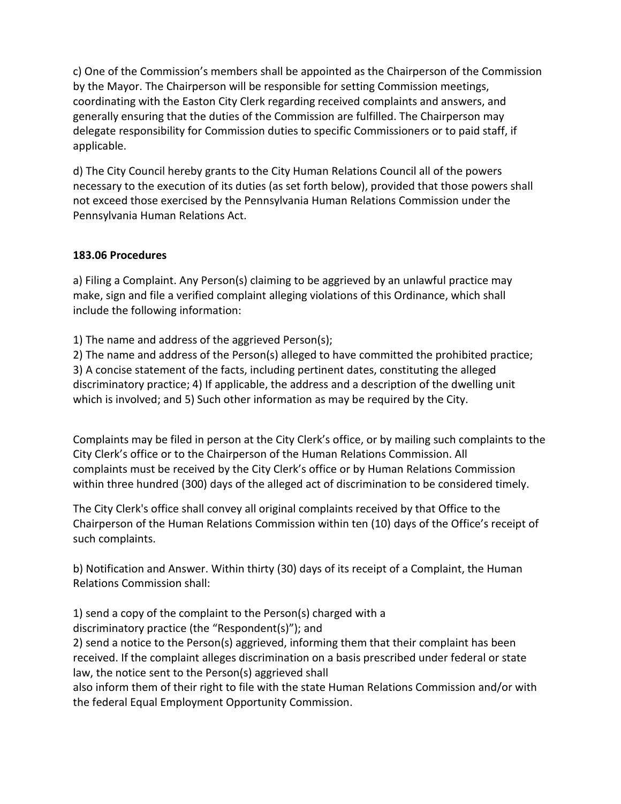c) One of the Commission's members shall be appointed as the Chairperson of the Commission by the Mayor. The Chairperson will be responsible for setting Commission meetings, coordinating with the Easton City Clerk regarding received complaints and answers, and generally ensuring that the duties of the Commission are fulfilled. The Chairperson may delegate responsibility for Commission duties to specific Commissioners or to paid staff, if applicable.

d) The City Council hereby grants to the City Human Relations Council all of the powers necessary to the execution of its duties (as set forth below), provided that those powers shall not exceed those exercised by the Pennsylvania Human Relations Commission under the Pennsylvania Human Relations Act.

### **183.06 Procedures**

a) Filing a Complaint. Any Person(s) claiming to be aggrieved by an unlawful practice may make, sign and file a verified complaint alleging violations of this Ordinance, which shall include the following information:

1) The name and address of the aggrieved Person(s);

2) The name and address of the Person(s) alleged to have committed the prohibited practice; 3) A concise statement of the facts, including pertinent dates, constituting the alleged discriminatory practice; 4) If applicable, the address and a description of the dwelling unit which is involved; and 5) Such other information as may be required by the City.

Complaints may be filed in person at the City Clerk's office, or by mailing such complaints to the City Clerk's office or to the Chairperson of the Human Relations Commission. All complaints must be received by the City Clerk's office or by Human Relations Commission within three hundred (300) days of the alleged act of discrimination to be considered timely.

The City Clerk's office shall convey all original complaints received by that Office to the Chairperson of the Human Relations Commission within ten (10) days of the Office's receipt of such complaints.

b) Notification and Answer. Within thirty (30) days of its receipt of a Complaint, the Human Relations Commission shall:

1) send a copy of the complaint to the Person(s) charged with a discriminatory practice (the "Respondent(s)"); and

2) send a notice to the Person(s) aggrieved, informing them that their complaint has been received. If the complaint alleges discrimination on a basis prescribed under federal or state law, the notice sent to the Person(s) aggrieved shall

also inform them of their right to file with the state Human Relations Commission and/or with the federal Equal Employment Opportunity Commission.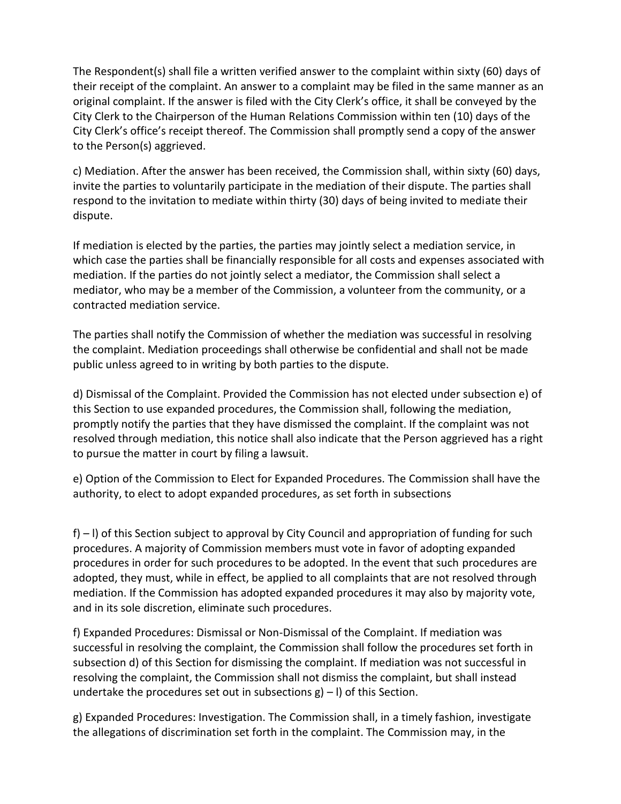The Respondent(s) shall file a written verified answer to the complaint within sixty (60) days of their receipt of the complaint. An answer to a complaint may be filed in the same manner as an original complaint. If the answer is filed with the City Clerk's office, it shall be conveyed by the City Clerk to the Chairperson of the Human Relations Commission within ten (10) days of the City Clerk's office's receipt thereof. The Commission shall promptly send a copy of the answer to the Person(s) aggrieved.

c) Mediation. After the answer has been received, the Commission shall, within sixty (60) days, invite the parties to voluntarily participate in the mediation of their dispute. The parties shall respond to the invitation to mediate within thirty (30) days of being invited to mediate their dispute.

If mediation is elected by the parties, the parties may jointly select a mediation service, in which case the parties shall be financially responsible for all costs and expenses associated with mediation. If the parties do not jointly select a mediator, the Commission shall select a mediator, who may be a member of the Commission, a volunteer from the community, or a contracted mediation service.

The parties shall notify the Commission of whether the mediation was successful in resolving the complaint. Mediation proceedings shall otherwise be confidential and shall not be made public unless agreed to in writing by both parties to the dispute.

d) Dismissal of the Complaint. Provided the Commission has not elected under subsection e) of this Section to use expanded procedures, the Commission shall, following the mediation, promptly notify the parties that they have dismissed the complaint. If the complaint was not resolved through mediation, this notice shall also indicate that the Person aggrieved has a right to pursue the matter in court by filing a lawsuit.

e) Option of the Commission to Elect for Expanded Procedures. The Commission shall have the authority, to elect to adopt expanded procedures, as set forth in subsections

f) – l) of this Section subject to approval by City Council and appropriation of funding for such procedures. A majority of Commission members must vote in favor of adopting expanded procedures in order for such procedures to be adopted. In the event that such procedures are adopted, they must, while in effect, be applied to all complaints that are not resolved through mediation. If the Commission has adopted expanded procedures it may also by majority vote, and in its sole discretion, eliminate such procedures.

f) Expanded Procedures: Dismissal or Non-Dismissal of the Complaint. If mediation was successful in resolving the complaint, the Commission shall follow the procedures set forth in subsection d) of this Section for dismissing the complaint. If mediation was not successful in resolving the complaint, the Commission shall not dismiss the complaint, but shall instead undertake the procedures set out in subsections  $g$ ) – I) of this Section.

g) Expanded Procedures: Investigation. The Commission shall, in a timely fashion, investigate the allegations of discrimination set forth in the complaint. The Commission may, in the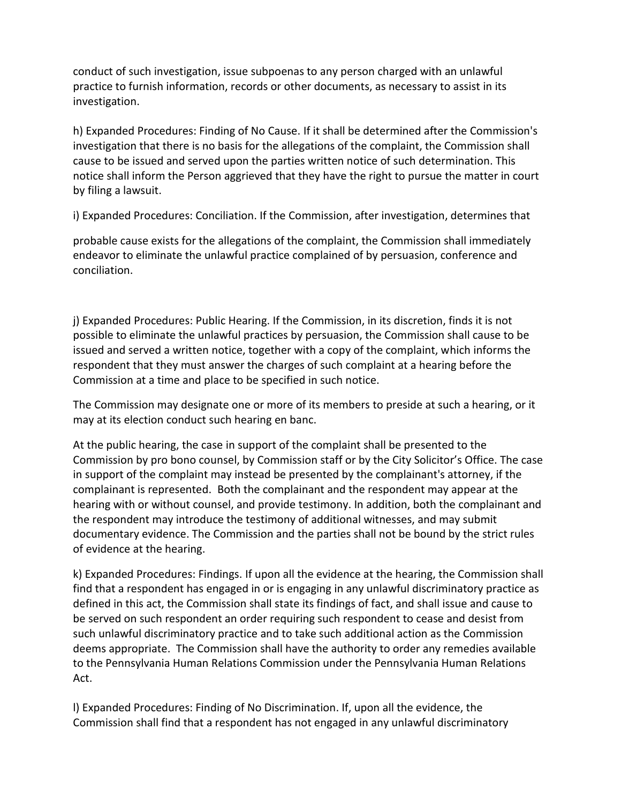conduct of such investigation, issue subpoenas to any person charged with an unlawful practice to furnish information, records or other documents, as necessary to assist in its investigation.

h) Expanded Procedures: Finding of No Cause. If it shall be determined after the Commission's investigation that there is no basis for the allegations of the complaint, the Commission shall cause to be issued and served upon the parties written notice of such determination. This notice shall inform the Person aggrieved that they have the right to pursue the matter in court by filing a lawsuit.

i) Expanded Procedures: Conciliation. If the Commission, after investigation, determines that

probable cause exists for the allegations of the complaint, the Commission shall immediately endeavor to eliminate the unlawful practice complained of by persuasion, conference and conciliation.

j) Expanded Procedures: Public Hearing. If the Commission, in its discretion, finds it is not possible to eliminate the unlawful practices by persuasion, the Commission shall cause to be issued and served a written notice, together with a copy of the complaint, which informs the respondent that they must answer the charges of such complaint at a hearing before the Commission at a time and place to be specified in such notice.

The Commission may designate one or more of its members to preside at such a hearing, or it may at its election conduct such hearing en banc.

At the public hearing, the case in support of the complaint shall be presented to the Commission by pro bono counsel, by Commission staff or by the City Solicitor's Office. The case in support of the complaint may instead be presented by the complainant's attorney, if the complainant is represented. Both the complainant and the respondent may appear at the hearing with or without counsel, and provide testimony. In addition, both the complainant and the respondent may introduce the testimony of additional witnesses, and may submit documentary evidence. The Commission and the parties shall not be bound by the strict rules of evidence at the hearing.

k) Expanded Procedures: Findings. If upon all the evidence at the hearing, the Commission shall find that a respondent has engaged in or is engaging in any unlawful discriminatory practice as defined in this act, the Commission shall state its findings of fact, and shall issue and cause to be served on such respondent an order requiring such respondent to cease and desist from such unlawful discriminatory practice and to take such additional action as the Commission deems appropriate. The Commission shall have the authority to order any remedies available to the Pennsylvania Human Relations Commission under the Pennsylvania Human Relations Act.

l) Expanded Procedures: Finding of No Discrimination. If, upon all the evidence, the Commission shall find that a respondent has not engaged in any unlawful discriminatory